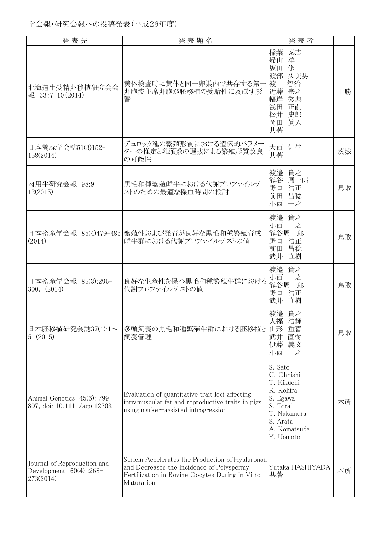| 発表先                                                                    | 発表題名                                                                                                                                                           | 発表者                                                                                                                              |    |
|------------------------------------------------------------------------|----------------------------------------------------------------------------------------------------------------------------------------------------------------|----------------------------------------------------------------------------------------------------------------------------------|----|
| 北海道牛受精卵移植研究会会<br>報 33:7-10(2014)                                       | 黄体検査時に黄体と同一卵巣内で共存する第-<br>卵胞波主席卵胞が胚移植の受胎性に及ぼす影<br>響                                                                                                             | 泰志<br>稲葉<br>帰山 洋<br>坂田<br>修<br>渡部 久美男<br>渡<br>智治<br>宗之<br>近藤<br>幅岸 秀典<br>正嗣<br>浅田<br>松井 史郎<br>眞人<br>岡田<br>共著                     | 十勝 |
| 日本養豚学会誌51(3)152-<br>158(2014)                                          | デュロック種の繁殖形質における遺伝的パラメー<br>ターの推定と乳頭数の選抜による繁殖形質改良<br>の可能性                                                                                                        | 大西 知佳<br>共著                                                                                                                      | 茨城 |
| 肉用牛研究会報 98:9-<br>12(2015)                                              | 黒毛和種繁殖雌牛における代謝プロファイルテ<br>ストのための最適な採血時間の検討                                                                                                                      | 渡邉 貴之<br>熊谷 周一郎<br>野口 浩正<br>前田 昌稔<br>小西 一之                                                                                       | 鳥取 |
| (2014)                                                                 | 日本畜産学会報 85(4)479-485  繁殖性および発育が良好な黒毛和種繁殖育成<br>雌牛群における代謝プロファイルテストの値                                                                                             | 渡邉 貴之<br>小西 一之<br>熊谷周一郎<br>野口 浩正<br>前田 昌稔<br>武井 直樹                                                                               | 鳥取 |
| 日本畜産学会報 85(3):295-<br>300, (2014)                                      | 良好な生産性を保つ黒毛和種繁殖牛群における<br>代謝プロファイルテストの値                                                                                                                         | 渡邉 貴之<br>小西 一之<br>熊谷周一郎<br>野口 浩正<br>武井 直樹                                                                                        | 鳥取 |
| 日本胚移植研究会誌37(1):1~<br>5(2015)                                           | 多頭飼養の黒毛和種繁殖牛群における胚移植と<br>飼養管理                                                                                                                                  | 渡邉 貴之<br>大福 浩輝<br>重喜<br>山形<br>武井<br>直樹<br>伊藤 義文<br>小西 一之                                                                         | 鳥取 |
| Animal Genetics 45(6): 799-<br>807, doi: 10.1111/age.12203             | Evaluation of quantitative trait loci affecting<br>intramuscular fat and reproductive traits in pigs<br>using marker-assisted introgression                    | S. Sato<br>C. Ohnishi<br>T. Kikuchi<br>K. Kohira<br>S. Egawa<br>S. Terai<br>T. Nakamura<br>S. Arata<br>A. Komatsuda<br>Y. Uemoto | 本所 |
| Journal of Reproduction and<br>Development $60(4)$ : 268-<br>273(2014) | Sericin Accelerates the Production of Hyaluronan<br>and Decreases the Incidence of Polyspermy<br>Fertilization in Bovine Oocytes During In Vitro<br>Maturation | Yutaka HASHIYADA<br>共著                                                                                                           | 本所 |